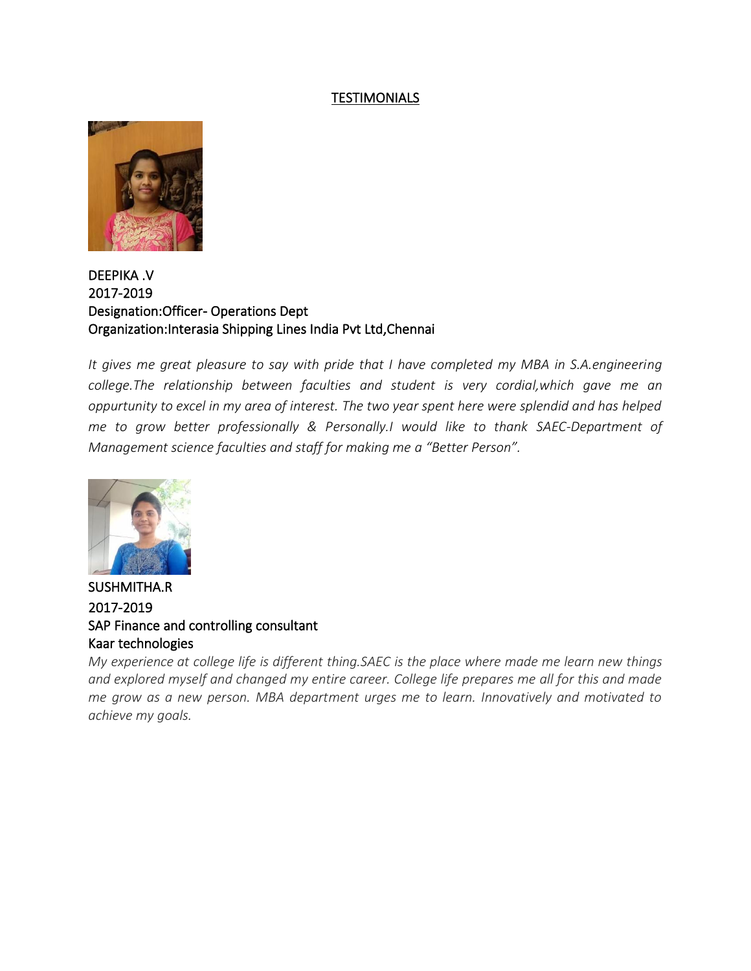## TESTIMONIALS



## DEEPIKA .V 2017-2019 Designation:Officer- Operations Dept Organization:Interasia Shipping Lines India Pvt Ltd,Chennai

*It gives me great pleasure to say with pride that I have completed my MBA in S.A.engineering college.The relationship between faculties and student is very cordial,which gave me an oppurtunity to excel in my area of interest. The two year spent here were splendid and has helped me to grow better professionally & Personally.I would like to thank SAEC-Department of Management science faculties and staff for making me a "Better Person".*



SUSHMITHA.R 2017-2019 SAP Finance and controlling consultant Kaar technologies

*My experience at college life is different thing.SAEC is the place where made me learn new things and explored myself and changed my entire career. College life prepares me all for this and made me grow as a new person. MBA department urges me to learn. Innovatively and motivated to achieve my goals.*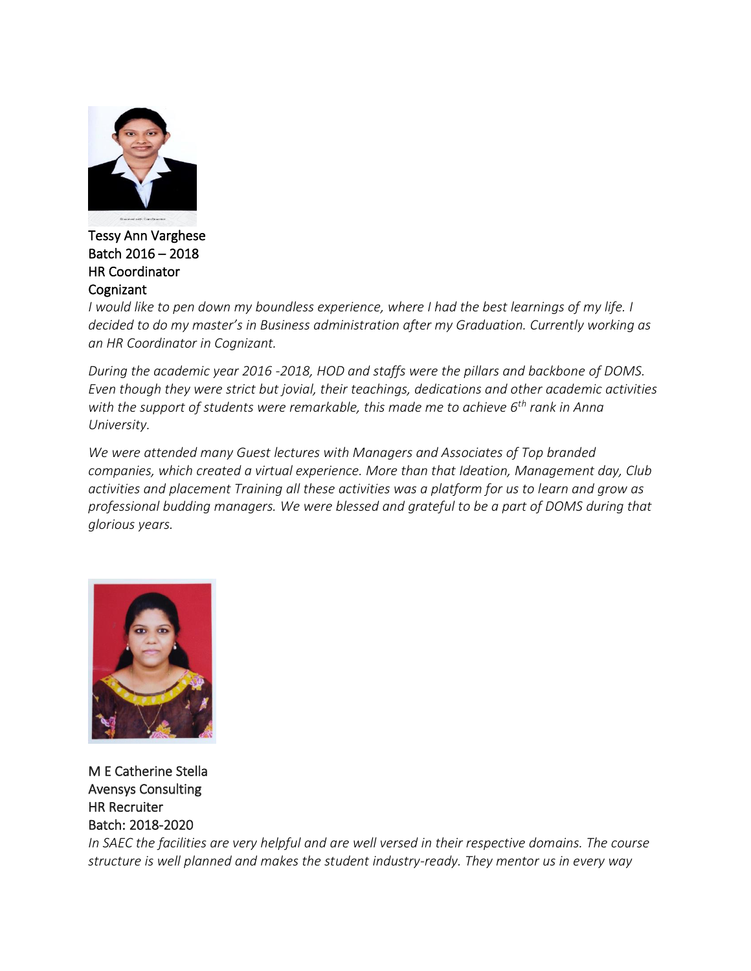

Tessy Ann Varghese Batch 2016 – 2018 HR Coordinator **Cognizant** 

*I would like to pen down my boundless experience, where I had the best learnings of my life. I decided to do my master's in Business administration after my Graduation. Currently working as an HR Coordinator in Cognizant.*

*During the academic year 2016 -2018, HOD and staffs were the pillars and backbone of DOMS. Even though they were strict but jovial, their teachings, dedications and other academic activities with the support of students were remarkable, this made me to achieve 6th rank in Anna University.*

*We were attended many Guest lectures with Managers and Associates of Top branded companies, which created a virtual experience. More than that Ideation, Management day, Club activities and placement Training all these activities was a platform for us to learn and grow as professional budding managers. We were blessed and grateful to be a part of DOMS during that glorious years.*



M E Catherine Stella Avensys Consulting HR Recruiter Batch: 2018-2020

*In SAEC the facilities are very helpful and are well versed in their respective domains. The course structure is well planned and makes the student industry-ready. They mentor us in every way*